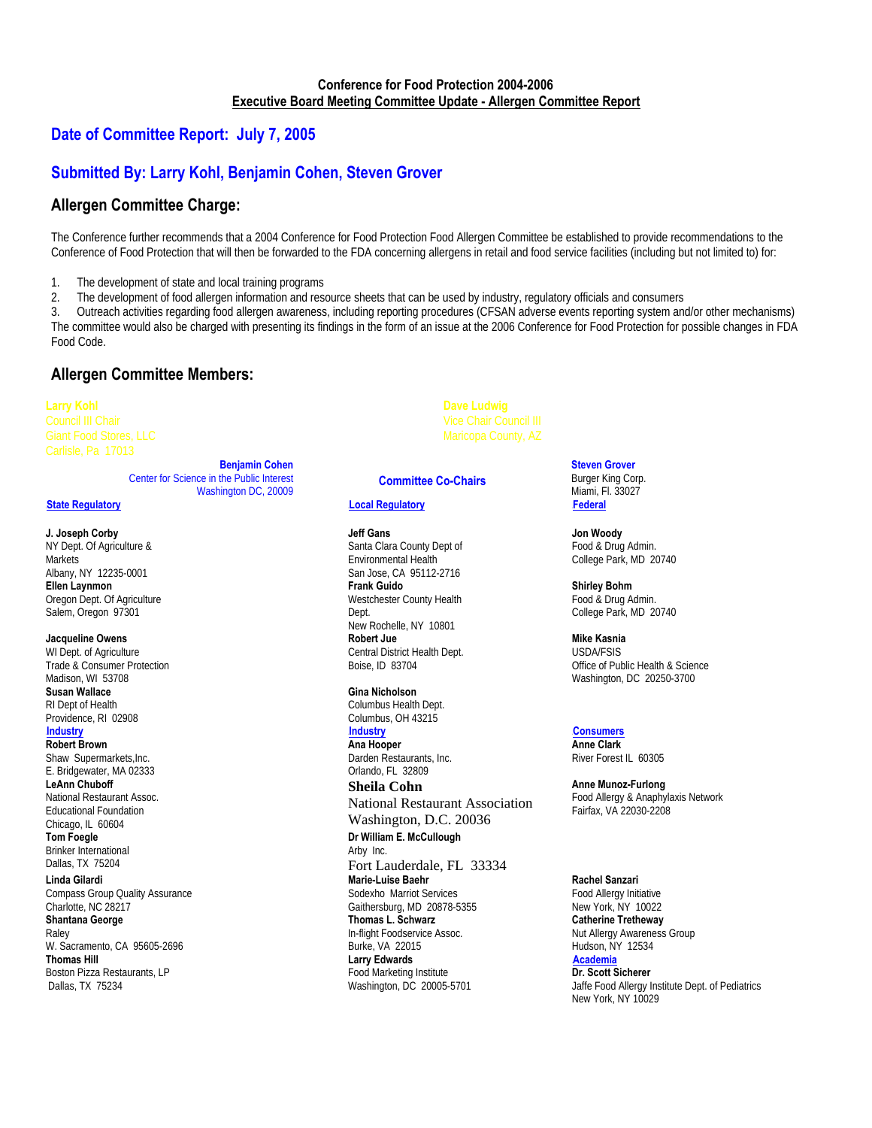## **Date of Committee Report: July 7, 2005**

## **Submitted By: Larry Kohl, Benjamin Cohen, Steven Grover**

### **Allergen Committee Charge:**

The Conference further recommends that a 2004 Conference for Food Protection Food Allergen Committee be established to provide recommendations to the Conference of Food Protection that will then be forwarded to the FDA concerning allergens in retail and food service facilities (including but not limited to) for:

1. The development of state and local training programs

2. The development of food allergen information and resource sheets that can be used by industry, regulatory officials and consumers

3. Outreach activities regarding food allergen awareness, including reporting procedures (CFSAN adverse events reporting system and/or other mechanisms) The committee would also be charged with presenting its findings in the form of an issue at the 2006 Conference for Food Protection for possible changes in FDA Food Code.

## **Allergen Committee Members:**

**Larry Kohl** 

**Benjamin Cohen** Center for Science in the Public Interest Washington DC, 20009

#### **J. Joseph Corby**

NY Dept. Of Agriculture & Markets Albany, NY 12235-0001 **Ellen Laynmon**  Oregon Dept. Of Agriculture Salem, Oregon 97301

#### **Jacqueline Owens**

WI Dept. of Agriculture Trade & Consumer Protection Madison, WI 53708 **Susan Wallace**  RI Dept of Health Providence, RI 02908<br>Industry

**Robert Brown**

Shaw Supermarkets, Inc. E. Bridgewater, MA 02333 **LeAnn Chuboff**  National Restaurant Assoc. Educational Foundation Chicago, IL 60604 **Tom Foegle** Brinker International

Dallas, TX 75204 **Linda Gilardi** 

Compass Group Quality Assurance Charlotte, NC 28217 **Shantana George**  Raley W. Sacramento, CA 95605-2696 **Thomas Hill**  Boston Pizza Restaurants, LP Dallas, TX 75234

### **Committee Co-Chairs**

#### <sup>U</sup>**State Regulatory** <sup>U</sup>**Local Regulatory** <sup>U</sup>**Federal**

**Jeff Gans**  Santa Clara County Dept of Environmental Health San Jose, CA 95112-2716 **Frank Guido**  Westchester County Health Dept. New Rochelle, NY 10801 **Robert Jue** Central District Health Dept. Boise, ID 83704

**Gina Nicholson** Columbus Health Dept. Columbus, OH 43215

**Ana Hooper** Darden Restaurants, Inc. Orlando, FL 32809

**Sheila Cohn**  National Restaurant Association Washington, D.C. 20036 **Dr William E. McCullough** Arby Inc. Fort Lauderdale, FL 33334 **Marie-Luise Baehr**  Sodexho Marriot Services Gaithersburg, MD 20878-5355 **Thomas L. Schwarz**  In-flight Foodservice Assoc. Burke, VA 22015 **Larry Edwards**  Food Marketing Institute Washington, DC 20005-5701

**Steven Grover** 

Burger King Corp. Miami, Fl. 33027

**Jon Woody**  Food & Drug Admin. College Park, MD 20740

**Shirley Bohm** Food & Drug Admin. College Park, MD 20740

**Mike Kasnia**  USDA/FSIS Office of Public Health & Science Washington, DC 20250-3700

<sup>U</sup>**Industry** <sup>U</sup>**Industry** <sup>U</sup>**Consumers Anne Clark**  River Forest IL 60305

> **Anne Munoz-Furlong** Food Allergy & Anaphylaxis Network Fairfax, VA 22030-2208

**Rachel Sanzari** Food Allergy Initiative New York, NY 10022 **Catherine Tretheway**  Nut Allergy Awareness Group Hudson, NY 12534 <sup>U</sup>**Academia**

**Dr. Scott Sicherer** Jaffe Food Allergy Institute Dept. of Pediatrics New York, NY 10029